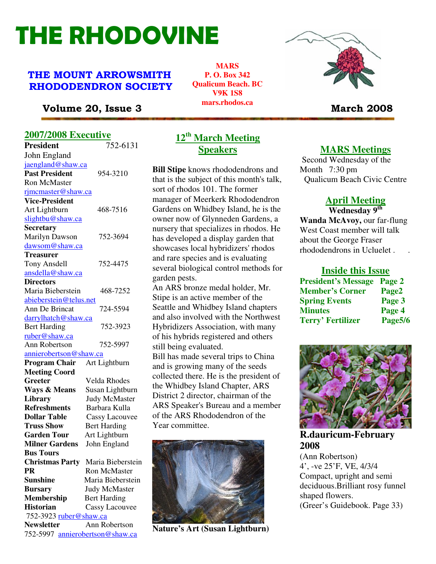# THE RHODOVINE

# THE MOUNT ARROWSMITH RHODODENDRON SOCIETY

**MARS P. O. Box 342 Qualicum Beach. BC V9K 1S8 mars.rhodos.ca** 



# Volume 20, Issue 3 March 2008

## **2007/2008 Executive**

| <b>President</b>                            | 752-6131                          |
|---------------------------------------------|-----------------------------------|
| John England                                |                                   |
| jaengland@shaw.ca                           |                                   |
| <b>Past President</b>                       | 954-3210                          |
| <b>Ron McMaster</b>                         |                                   |
| rimcmaster@shaw.ca                          |                                   |
| <b>Vice-President</b>                       |                                   |
| Art Lightburn                               | 468-7516                          |
| slightbu@shaw.ca                            |                                   |
| <b>Secretary</b>                            |                                   |
| Marilyn Dawson                              | 752-3694                          |
| dawsom@shaw.ca                              |                                   |
| <b>Treasurer</b>                            |                                   |
| <b>Tony Ansdell</b>                         | 752-4475                          |
| ansdella@shaw.ca                            |                                   |
| <b>Directors</b>                            |                                   |
| Maria Bieberstein                           | 468-7252                          |
| abieberstein@telus.net                      |                                   |
| Ann De Brincat                              | 724-5594                          |
| darrylhatch@shaw.ca                         |                                   |
| <b>Bert Harding</b>                         | 752-3923                          |
| ruber@shaw.ca                               |                                   |
| <b>Ann Robertson</b>                        | 752-5997                          |
| <u>annierobertson@shaw.ca</u>               |                                   |
| <b>Program Chair</b>                        | Art Lightburn                     |
| <b>Meeting Coord</b>                        |                                   |
| Greeter                                     | Velda Rhodes                      |
| <b>Ways &amp; Means</b>                     | Susan Lightburn                   |
| <b>Library</b>                              | <b>Judy McMaster</b>              |
| <b>Refreshments</b>                         | Barbara Kulla                     |
| <b>Dollar Table</b>                         | <b>Cassy Lacouvee</b>             |
| <b>Truss Show</b>                           | <b>Bert Harding</b>               |
| <b>Garden Tour</b>                          | Art Lightburn                     |
| <b>Milner Gardens</b>                       | John England                      |
| <b>Bus Tours</b>                            |                                   |
|                                             | Christmas Party Maria Bieberstein |
| <b>PR</b>                                   | <b>Ron McMaster</b>               |
| <b>Sunshine</b>                             | Maria Bieberstein                 |
| <b>Bursary</b>                              | <b>Judy McMaster</b>              |
| <b>Membership</b>                           | <b>Bert Harding</b>               |
| <b>Historian</b>                            | Cassy Lacouvee                    |
| 752-3923 ruber@shaw.ca<br><b>Newsletter</b> | Ann Robertson                     |
|                                             |                                   |
| 752-5997 annierobertson@shaw.ca             |                                   |

# **12th March Meeting Speakers**

**Bill Stipe** knows rhododendrons and that is the subject of this month's talk, sort of rhodos 101. The former manager of Meerkerk Rhododendron Gardens on Whidbey Island, he is the owner now of Glynneden Gardens, a nursery that specializes in rhodos. He has developed a display garden that showcases local hybridizers' rhodos and rare species and is evaluating several biological control methods for garden pests.

An ARS bronze medal holder, Mr. Stipe is an active member of the Seattle and Whidbey Island chapters and also involved with the Northwest Hybridizers Association, with many of his hybrids registered and others still being evaluated.

Bill has made several trips to China and is growing many of the seeds collected there. He is the president of the Whidbey Island Chapter, ARS District 2 director, chairman of the ARS Speaker's Bureau and a member of the ARS Rhododendron of the Year committee.



**Nature's Art (Susan Lightburn)** 

## **MARS Meetings**

 Second Wednesday of the Month 7:30 pm Qualicum Beach Civic Centre

# **April Meeting**

**Wednesday 9th Wanda McAvoy,** our far-flung West Coast member will talk about the George Fraser rhododendrons in Ucluelet . .

#### **Inside this Issue**

| <b>President's Message</b> | Page 2  |
|----------------------------|---------|
| <b>Member's Corner</b>     | Page2   |
| <b>Spring Events</b>       | Page 3  |
| <b>Minutes</b>             | Page 4  |
| <b>Terry' Fertilizer</b>   | Page5/6 |



**R.dauricum-February 2008** 

(Ann Robertson) 4', -ve 25'F, VE, 4/3/4 Compact, upright and semi deciduous.Brilliant rosy funnel shaped flowers. (Greer's Guidebook. Page 33)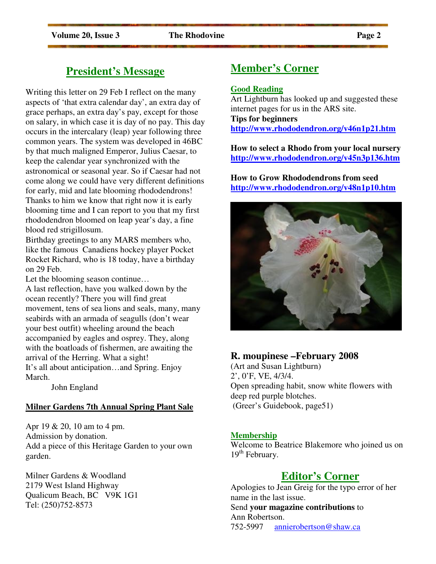# **President's Message**

Writing this letter on 29 Feb I reflect on the many aspects of 'that extra calendar day', an extra day of grace perhaps, an extra day's pay, except for those on salary, in which case it is day of no pay. This day occurs in the intercalary (leap) year following three common years. The system was developed in 46BC by that much maligned Emperor, Julius Caesar, to keep the calendar year synchronized with the astronomical or seasonal year. So if Caesar had not come along we could have very different definitions for early, mid and late blooming rhododendrons! Thanks to him we know that right now it is early blooming time and I can report to you that my first rhododendron bloomed on leap year's day, a fine blood red strigillosum.

Birthday greetings to any MARS members who, like the famous Canadiens hockey player Pocket Rocket Richard, who is 18 today, have a birthday on 29 Feb.

Let the blooming season continue…

A last reflection, have you walked down by the ocean recently? There you will find great movement, tens of sea lions and seals, many, many seabirds with an armada of seagulls (don't wear your best outfit) wheeling around the beach accompanied by eagles and osprey. They, along with the boatloads of fishermen, are awaiting the arrival of the Herring. What a sight! It's all about anticipation…and Spring. Enjoy March.

John England

#### **Milner Gardens 7th Annual Spring Plant Sale**

Apr 19 & 20, 10 am to 4 pm. Admission by donation. Add a piece of this Heritage Garden to your own garden.

Milner Gardens & Woodland 2179 West Island Highway Qualicum Beach, BC V9K 1G1 Tel: (250)752-8573

# **Member's Corner**

#### **Good Reading**

Art Lightburn has looked up and suggested these internet pages for us in the ARS site. **Tips for beginners http://www.rhododendron.org/v46n1p21.htm** 

**How to select a Rhodo from your local nursery http://www.rhododendron.org/v45n3p136.htm**

**How to Grow Rhododendrons from seed http://www.rhododendron.org/v48n1p10.htm**



# **R. moupinese –February 2008**

(Art and Susan Lightburn) 2', 0'F, VE, 4/3/4. Open spreading habit, snow white flowers with deep red purple blotches. (Greer's Guidebook, page51)

#### **Membership**

Welcome to Beatrice Blakemore who joined us on  $19<sup>th</sup>$  February.

# **Editor's Corner**

Apologies to Jean Greig for the typo error of her name in the last issue. Send **your magazine contributions** to Ann Robertson. 752-5997 annierobertson@shaw.ca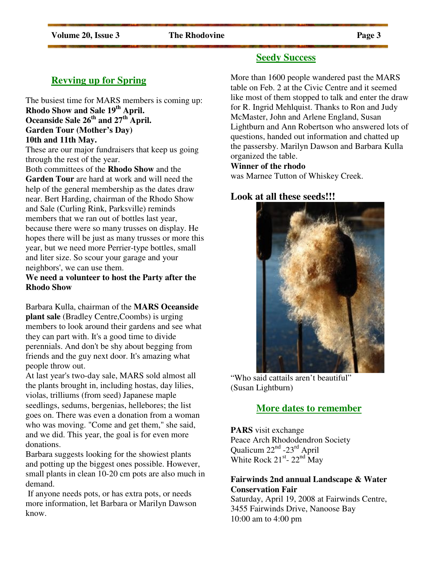# **Revving up for Spring**

The busiest time for MARS members is coming up: **Rhodo Show and Sale 19th April. Oceanside Sale 26th and 27th April. Garden Tour (Mother's Day) 10th and 11th May.** 

These are our major fundraisers that keep us going through the rest of the year.

Both committees of the **Rhodo Show** and the **Garden Tour** are hard at work and will need the help of the general membership as the dates draw near. Bert Harding, chairman of the Rhodo Show and Sale (Curling Rink, Parksville) reminds members that we ran out of bottles last year, because there were so many trusses on display. He hopes there will be just as many trusses or more this year, but we need more Perrier-type bottles, small and liter size. So scour your garage and your neighbors', we can use them.

#### **We need a volunteer to host the Party after the Rhodo Show**

Barbara Kulla, chairman of the **MARS Oceanside plant sale** (Bradley Centre,Coombs) is urging members to look around their gardens and see what they can part with. It's a good time to divide perennials. And don't be shy about begging from friends and the guy next door. It's amazing what people throw out.

At last year's two-day sale, MARS sold almost all the plants brought in, including hostas, day lilies, violas, trilliums (from seed) Japanese maple seedlings, sedums, bergenias, hellebores; the list goes on. There was even a donation from a woman who was moving. "Come and get them," she said, and we did. This year, the goal is for even more donations.

Barbara suggests looking for the showiest plants and potting up the biggest ones possible. However, small plants in clean 10-20 cm pots are also much in demand.

 If anyone needs pots, or has extra pots, or needs more information, let Barbara or Marilyn Dawson know.

# **Seedy Success**

More than 1600 people wandered past the MARS table on Feb. 2 at the Civic Centre and it seemed like most of them stopped to talk and enter the draw for R. Ingrid Mehlquist. Thanks to Ron and Judy McMaster, John and Arlene England, Susan Lightburn and Ann Robertson who answered lots of questions, handed out information and chatted up the passersby. Marilyn Dawson and Barbara Kulla organized the table.

#### **Winner of the rhodo**

was Marnee Tutton of Whiskey Creek.

#### **Look at all these seeds!!!**



"Who said cattails aren't beautiful" (Susan Lightburn)

## **More dates to remember**

**PARS** visit exchange Peace Arch Rhododendron Society Qualicum  $22<sup>nd</sup> - 23<sup>rd</sup>$  April White Rock  $21^{st}$ -  $22^{nd}$  May

#### **Fairwinds 2nd annual Landscape & Water Conservation Fair**

Saturday, April 19, 2008 at Fairwinds Centre, 3455 Fairwinds Drive, Nanoose Bay 10:00 am to 4:00 pm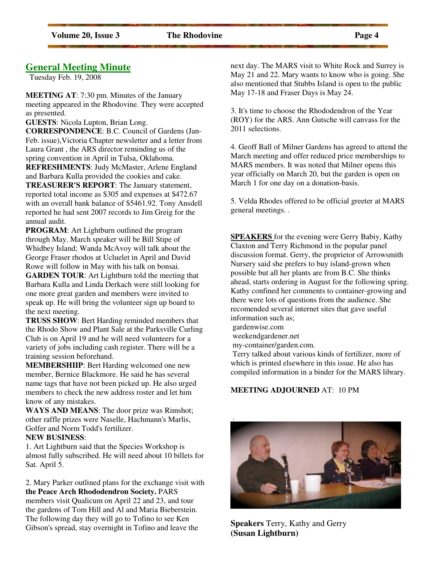## **General Meeting Minute**

Tuesday Feb. 19, 2008

**MEETING AT**: 7:30 pm. Minutes of the January meeting appeared in the Rhodovine. They were accepted as presented.

**GUESTS**: Nicola Lupton, Brian Long.

**CORRESPONDENCE**: B.C. Council of Gardens (Jan-Feb. issue),Victoria Chapter newsletter and a letter from Laura Grant , the ARS director reminding us of the spring convention in April in Tulsa, Oklahoma.

**REFRESHMENTS**: Judy McMaster, Arlene England and Barbara Kulla provided the cookies and cake.

**TREASURER'S REPORT**: The January statement, reported total income as \$305 and expenses at \$472.67 with an overall bank balance of \$5461.92. Tony Ansdell reported he had sent 2007 records to Jim Greig for the annual audit.

**PROGRAM**: Art Lightburn outlined the program through May. March speaker will be Bill Stipe of Whidbey Island; Wanda McAvoy will talk about the George Fraser rhodos at Ucluelet in April and David Rowe will follow in May with his talk on bonsai.

**GARDEN TOUR**: Art Lightburn told the meeting that Barbara Kulla and Linda Derkach were still looking for one more great garden and members were invited to speak up. He will bring the volunteer sign up board to the next meeting.

**TRUSS SHOW**: Bert Harding reminded members that the Rhodo Show and Plant Sale at the Parksville Curling Club is on April 19 and he will need volunteers for a variety of jobs including cash register. There will be a training session beforehand.

**MEMBERSHIIP**: Bert Harding welcomed one new member, Bernice Blackmore. He said he has several name tags that have not been picked up. He also urged members to check the new address roster and let him know of any mistakes.

**WAYS AND MEANS**: The door prize was Rimshot; other raffle prizes were Naselle, Hachmann's Marlis, Golfer and Norm Todd's fertilizer.

#### **NEW BUSINESS**:

1. Art Lightburn said that the Species Workshop is almost fully subscribed. He will need about 10 billets for Sat. April 5.

2. Mary Parker outlined plans for the exchange visit with **the Peace Arch Rhododendron Society.** PARS members visit Qualicum on April 22 and 23, and tour the gardens of Tom Hill and Al and Maria Bieberstein. The following day they will go to Tofino to see Ken Gibson's spread, stay overnight in Tofino and leave the

next day. The MARS visit to White Rock and Surrey is May 21 and 22. Mary wants to know who is going. She also mentioned that Stubbs Island is open to the public May 17-18 and Fraser Days is May 24.

3. It's time to choose the Rhododendron of the Year (ROY) for the ARS. Ann Gutsche will canvass for the 2011 selections.

4. Geoff Ball of Milner Gardens has agreed to attend the March meeting and offer reduced price memberships to MARS members. It was noted that Milner opens this year officially on March 20, but the garden is open on March 1 for one day on a donation-basis.

5. Velda Rhodes offered to be official greeter at MARS general meetings. .

**SPEAKERS** for the evening were Gerry Babiy, Kathy Claxton and Terry Richmond in the popular panel discussion format. Gerry, the proprietor of Arrowsmith Nursery said she prefers to buy island-grown when possible but all her plants are from B.C. She thinks ahead, starts ordering in August for the following spring. Kathy confined her comments to container-growing and there were lots of questions from the audience. She recomended several internet sites that gave useful information such as;

gardenwise.com

weekendgardener.net

my-container/garden.com.

 Terry talked about various kinds of fertilizer, more of which is printed elsewhere in this issue. He also has compiled information in a binder for the MARS library.

#### **MEETING ADJOURNED** AT: 10 PM



**Speakers** Terry, Kathy and Gerry **(Susan Lightburn)**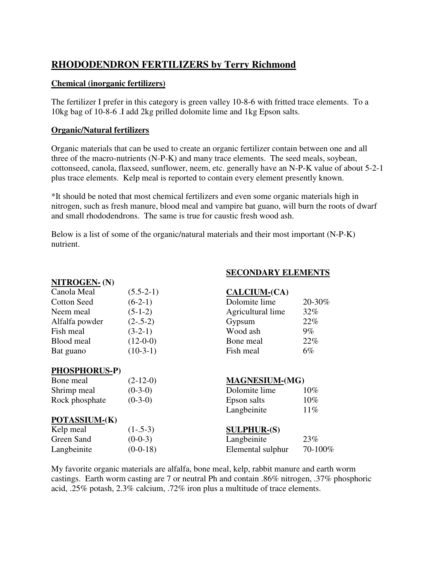# **RHODODENDRON FERTILIZERS by Terry Richmond**

#### **Chemical (inorganic fertilizers)**

The fertilizer I prefer in this category is green valley 10-8-6 with fritted trace elements. To a 10kg bag of 10-8-6 .I add 2kg prilled dolomite lime and 1kg Epson salts.

#### **Organic/Natural fertilizers**

Organic materials that can be used to create an organic fertilizer contain between one and all three of the macro-nutrients (N-P-K) and many trace elements. The seed meals, soybean, cottonseed, canola, flaxseed, sunflower, neem, etc. generally have an N-P-K value of about 5-2-1 plus trace elements. Kelp meal is reported to contain every element presently known.

\*It should be noted that most chemical fertilizers and even some organic materials high in nitrogen, such as fresh manure, blood meal and vampire bat guano, will burn the roots of dwarf and small rhododendrons. The same is true for caustic fresh wood ash.

Below is a list of some of the organic/natural materials and their most important (N-P-K) nutrient.

| NITROGEN-(N)         |             |                       |         |
|----------------------|-------------|-----------------------|---------|
| Canola Meal          | $(5.5-2-1)$ | <b>CALCIUM-(CA)</b>   |         |
| <b>Cotton Seed</b>   | $(6-2-1)$   | Dolomite lime         | 20-30%  |
| Neem meal            | $(5-1-2)$   | Agricultural lime     | 32%     |
| Alfalfa powder       | $(2-.5-2)$  | Gypsum                | 22%     |
| Fish meal            | $(3-2-1)$   | Wood ash              | $9\%$   |
| Blood meal           | $(12-0-0)$  | Bone meal             | 22%     |
| Bat guano            | $(10-3-1)$  | Fish meal             | $6\%$   |
|                      |             |                       |         |
| <b>PHOSPHORUS-P)</b> |             |                       |         |
| Bone meal            | $(2-12-0)$  | <b>MAGNESIUM-(MG)</b> |         |
| Shrimp meal          | $(0-3-0)$   | Dolomite lime         | $10\%$  |
| Rock phosphate       | $(0-3-0)$   | Epson salts           | 10%     |
|                      |             | Langbeinite           | 11%     |
| POTASSIUM-(K)        |             |                       |         |
| Kelp meal            | $(1-.5-3)$  | <b>SULPHUR-(S)</b>    |         |
| Green Sand           | $(0-0-3)$   | Langbeinite           | 23%     |
| Langbeinite          | $(0-0-18)$  | Elemental sulphur     | 70-100% |

**SECONDARY ELEMENTS**

My favorite organic materials are alfalfa, bone meal, kelp, rabbit manure and earth worm castings. Earth worm casting are 7 or neutral Ph and contain .86% nitrogen, .37% phosphoric acid, .25% potash, 2.3% calcium, .72% iron plus a multitude of trace elements.